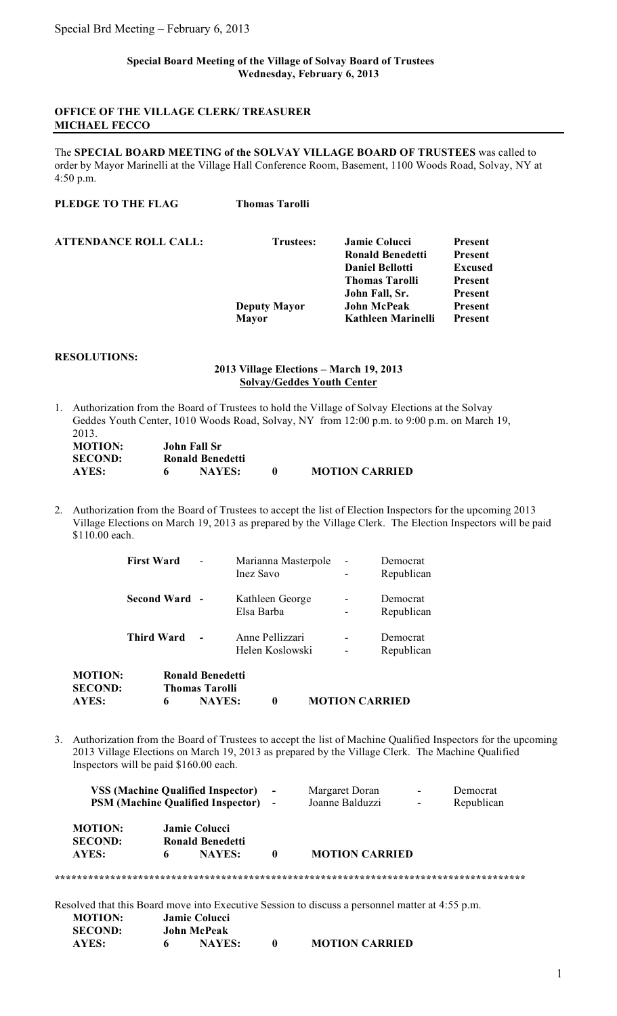### **Special Board Meeting of the Village of Solvay Board of Trustees Wednesday, February 6, 2013**

## **OFFICE OF THE VILLAGE CLERK/ TREASURER MICHAEL FECCO**

The **SPECIAL BOARD MEETING of the SOLVAY VILLAGE BOARD OF TRUSTEES** was called to order by Mayor Marinelli at the Village Hall Conference Room, Basement, 1100 Woods Road, Solvay, NY at 4:50 p.m.

| <b>Thomas Tarolli</b> |                         |                |
|-----------------------|-------------------------|----------------|
| Trustees:             | <b>Jamie Colucci</b>    | <b>Present</b> |
|                       | <b>Ronald Benedetti</b> | <b>Present</b> |
|                       | <b>Daniel Bellotti</b>  | Excused        |
|                       | <b>Thomas Tarolli</b>   | <b>Present</b> |
|                       | John Fall, Sr.          | <b>Present</b> |
|                       | <b>John McPeak</b>      | Present        |
| <b>Mayor</b>          | Kathleen Marinelli      | <b>Present</b> |
|                       | <b>Deputy Mayor</b>     |                |

# **RESOLUTIONS:**

## **2013 Village Elections – March 19, 2013 Solvay/Geddes Youth Center**

1. Authorization from the Board of Trustees to hold the Village of Solvay Elections at the Solvay Geddes Youth Center, 1010 Woods Road, Solvay, NY from 12:00 p.m. to 9:00 p.m. on March 19, 2013.

| <b>MOTION:</b> | John Fall Sr |                  |                       |
|----------------|--------------|------------------|-----------------------|
| <b>SECOND:</b> |              | Ronald Benedetti |                       |
| AYES:          |              | <b>NAYES:</b>    | <b>MOTION CARRIED</b> |

2. Authorization from the Board of Trustees to accept the list of Election Inspectors for the upcoming 2013 Village Elections on March 19, 2013 as prepared by the Village Clerk. The Election Inspectors will be paid \$110.00 each.

| <b>MOTION:</b><br><b>SECOND:</b><br>AYES: | 6                 | <b>Ronald Benedetti</b><br><b>Thomas Tarolli</b><br><b>NAYES:</b> | $\boldsymbol{0}$                   | <b>MOTION CARRIED</b> |                        |
|-------------------------------------------|-------------------|-------------------------------------------------------------------|------------------------------------|-----------------------|------------------------|
|                                           | <b>Third Ward</b> |                                                                   | Anne Pellizzari<br>Helen Koslowski |                       | Democrat<br>Republican |
|                                           | Second Ward -     |                                                                   | Kathleen George<br>Elsa Barba      |                       | Democrat<br>Republican |
|                                           | <b>First Ward</b> |                                                                   | Marianna Masterpole<br>Inez Savo   |                       | Democrat<br>Republican |

3. Authorization from the Board of Trustees to accept the list of Machine Qualified Inspectors for the upcoming 2013 Village Elections on March 19, 2013 as prepared by the Village Clerk. The Machine Qualified Inspectors will be paid \$160.00 each.

|                                  |   | <b>VSS (Machine Qualified Inspector)</b><br><b>PSM (Machine Qualified Inspector)</b> - |          | Margaret Doran<br>Joanne Balduzzi                                                               | Democrat<br>Republican |
|----------------------------------|---|----------------------------------------------------------------------------------------|----------|-------------------------------------------------------------------------------------------------|------------------------|
| <b>MOTION:</b><br><b>SECOND:</b> |   | Jamie Colucci<br><b>Ronald Benedetti</b>                                               |          |                                                                                                 |                        |
| <b>AYES:</b>                     | 6 | <b>NAYES:</b>                                                                          | $\bf{0}$ | <b>MOTION CARRIED</b>                                                                           |                        |
|                                  |   |                                                                                        |          |                                                                                                 |                        |
|                                  |   |                                                                                        |          | Resolved that this Board move into Executive Session to discuss a personnel matter at 4:55 p.m. |                        |
| <b>MOTION:</b>                   |   | Jamie Colucci                                                                          |          |                                                                                                 |                        |
| <b>SECOND:</b>                   |   | <b>John McPeak</b>                                                                     |          |                                                                                                 |                        |
| AYES:                            | 6 | <b>NAYES:</b>                                                                          | $\bf{0}$ | <b>MOTION CARRIED</b>                                                                           |                        |